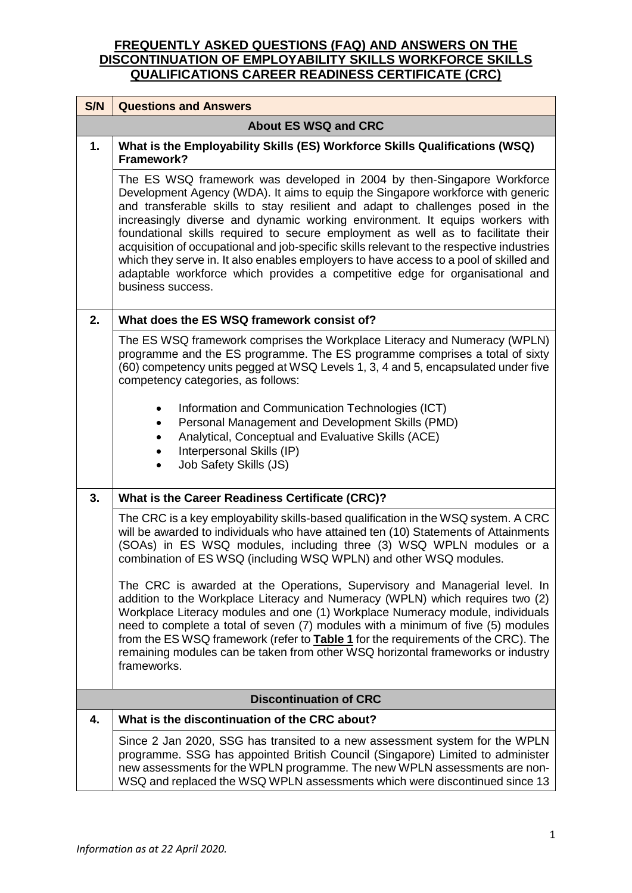| S/N | <b>Questions and Answers</b>                                                                                                                                                                                                                                                                                                                                                                                                                                                                                                                                                                                                                                                                                |  |  |  |
|-----|-------------------------------------------------------------------------------------------------------------------------------------------------------------------------------------------------------------------------------------------------------------------------------------------------------------------------------------------------------------------------------------------------------------------------------------------------------------------------------------------------------------------------------------------------------------------------------------------------------------------------------------------------------------------------------------------------------------|--|--|--|
|     | <b>About ES WSQ and CRC</b>                                                                                                                                                                                                                                                                                                                                                                                                                                                                                                                                                                                                                                                                                 |  |  |  |
| 1.  | What is the Employability Skills (ES) Workforce Skills Qualifications (WSQ)<br>Framework?                                                                                                                                                                                                                                                                                                                                                                                                                                                                                                                                                                                                                   |  |  |  |
|     | The ES WSQ framework was developed in 2004 by then-Singapore Workforce<br>Development Agency (WDA). It aims to equip the Singapore workforce with generic<br>and transferable skills to stay resilient and adapt to challenges posed in the<br>increasingly diverse and dynamic working environment. It equips workers with<br>foundational skills required to secure employment as well as to facilitate their<br>acquisition of occupational and job-specific skills relevant to the respective industries<br>which they serve in. It also enables employers to have access to a pool of skilled and<br>adaptable workforce which provides a competitive edge for organisational and<br>business success. |  |  |  |
| 2.  | What does the ES WSQ framework consist of?                                                                                                                                                                                                                                                                                                                                                                                                                                                                                                                                                                                                                                                                  |  |  |  |
|     | The ES WSQ framework comprises the Workplace Literacy and Numeracy (WPLN)<br>programme and the ES programme. The ES programme comprises a total of sixty<br>(60) competency units pegged at WSQ Levels 1, 3, 4 and 5, encapsulated under five<br>competency categories, as follows:                                                                                                                                                                                                                                                                                                                                                                                                                         |  |  |  |
|     | Information and Communication Technologies (ICT)                                                                                                                                                                                                                                                                                                                                                                                                                                                                                                                                                                                                                                                            |  |  |  |
|     | Personal Management and Development Skills (PMD)<br>Analytical, Conceptual and Evaluative Skills (ACE)                                                                                                                                                                                                                                                                                                                                                                                                                                                                                                                                                                                                      |  |  |  |
|     | Interpersonal Skills (IP)<br>Job Safety Skills (JS)                                                                                                                                                                                                                                                                                                                                                                                                                                                                                                                                                                                                                                                         |  |  |  |
| 3.  | What is the Career Readiness Certificate (CRC)?                                                                                                                                                                                                                                                                                                                                                                                                                                                                                                                                                                                                                                                             |  |  |  |
|     | The CRC is a key employability skills-based qualification in the WSQ system. A CRC<br>will be awarded to individuals who have attained ten (10) Statements of Attainments<br>(SOAs) in ES WSQ modules, including three (3) WSQ WPLN modules or a<br>combination of ES WSQ (including WSQ WPLN) and other WSQ modules.                                                                                                                                                                                                                                                                                                                                                                                       |  |  |  |
|     | The CRC is awarded at the Operations, Supervisory and Managerial level. In<br>addition to the Workplace Literacy and Numeracy (WPLN) which requires two (2)<br>Workplace Literacy modules and one (1) Workplace Numeracy module, individuals<br>need to complete a total of seven (7) modules with a minimum of five (5) modules<br>from the ES WSQ framework (refer to <b>Table 1</b> for the requirements of the CRC). The<br>remaining modules can be taken from other WSQ horizontal frameworks or industry<br>frameworks.                                                                                                                                                                              |  |  |  |
|     | <b>Discontinuation of CRC</b>                                                                                                                                                                                                                                                                                                                                                                                                                                                                                                                                                                                                                                                                               |  |  |  |
| 4.  | What is the discontinuation of the CRC about?                                                                                                                                                                                                                                                                                                                                                                                                                                                                                                                                                                                                                                                               |  |  |  |
|     | Since 2 Jan 2020, SSG has transited to a new assessment system for the WPLN<br>programme. SSG has appointed British Council (Singapore) Limited to administer<br>new assessments for the WPLN programme. The new WPLN assessments are non-<br>WSQ and replaced the WSQ WPLN assessments which were discontinued since 13                                                                                                                                                                                                                                                                                                                                                                                    |  |  |  |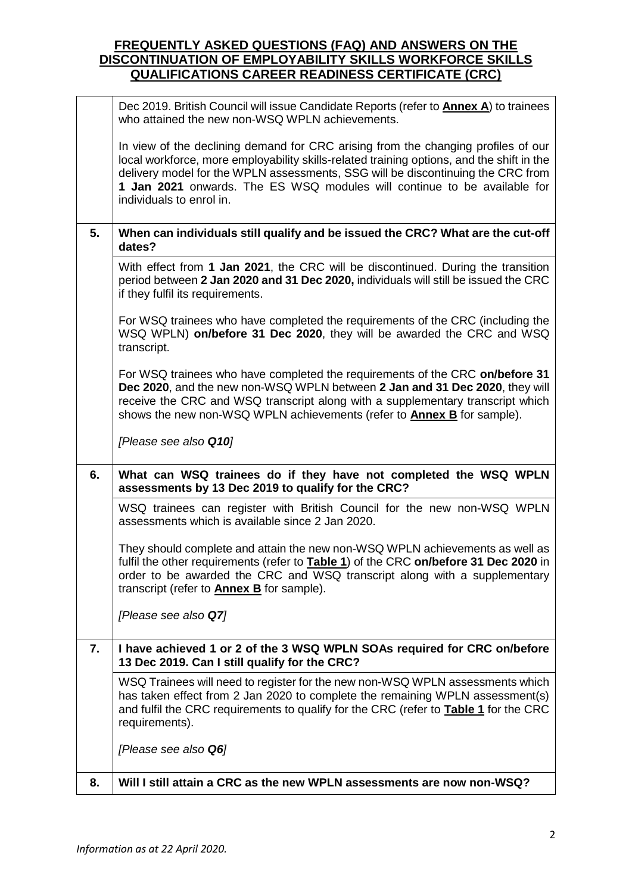|    | Dec 2019. British Council will issue Candidate Reports (refer to Annex A) to trainees<br>who attained the new non-WSQ WPLN achievements.                                                                                                                                                                                                                                  |  |  |  |  |
|----|---------------------------------------------------------------------------------------------------------------------------------------------------------------------------------------------------------------------------------------------------------------------------------------------------------------------------------------------------------------------------|--|--|--|--|
|    | In view of the declining demand for CRC arising from the changing profiles of our<br>local workforce, more employability skills-related training options, and the shift in the<br>delivery model for the WPLN assessments, SSG will be discontinuing the CRC from<br>1 Jan 2021 onwards. The ES WSQ modules will continue to be available for<br>individuals to enrol in. |  |  |  |  |
| 5. | When can individuals still qualify and be issued the CRC? What are the cut-off<br>dates?                                                                                                                                                                                                                                                                                  |  |  |  |  |
|    | With effect from 1 Jan 2021, the CRC will be discontinued. During the transition<br>period between 2 Jan 2020 and 31 Dec 2020, individuals will still be issued the CRC<br>if they fulfil its requirements.                                                                                                                                                               |  |  |  |  |
|    | For WSQ trainees who have completed the requirements of the CRC (including the<br>WSQ WPLN) on/before 31 Dec 2020, they will be awarded the CRC and WSQ<br>transcript.                                                                                                                                                                                                    |  |  |  |  |
|    | For WSQ trainees who have completed the requirements of the CRC on/before 31<br>Dec 2020, and the new non-WSQ WPLN between 2 Jan and 31 Dec 2020, they will<br>receive the CRC and WSQ transcript along with a supplementary transcript which<br>shows the new non-WSQ WPLN achievements (refer to <b>Annex B</b> for sample).                                            |  |  |  |  |
|    | [Please see also Q10]                                                                                                                                                                                                                                                                                                                                                     |  |  |  |  |
| 6. | What can WSQ trainees do if they have not completed the WSQ WPLN<br>assessments by 13 Dec 2019 to qualify for the CRC?                                                                                                                                                                                                                                                    |  |  |  |  |
|    | WSQ trainees can register with British Council for the new non-WSQ WPLN<br>assessments which is available since 2 Jan 2020.                                                                                                                                                                                                                                               |  |  |  |  |
|    | They should complete and attain the new non-WSQ WPLN achievements as well as<br>fulfil the other requirements (refer to <b>Table 1)</b> of the CRC on/before 31 Dec 2020 in<br>order to be awarded the CRC and WSQ transcript along with a supplementary<br>transcript (refer to <b>Annex B</b> for sample).                                                              |  |  |  |  |
|    | [Please see also Q7]                                                                                                                                                                                                                                                                                                                                                      |  |  |  |  |
| 7. | I have achieved 1 or 2 of the 3 WSQ WPLN SOAs required for CRC on/before<br>13 Dec 2019. Can I still qualify for the CRC?                                                                                                                                                                                                                                                 |  |  |  |  |
|    | WSQ Trainees will need to register for the new non-WSQ WPLN assessments which<br>has taken effect from 2 Jan 2020 to complete the remaining WPLN assessment(s)<br>and fulfil the CRC requirements to qualify for the CRC (refer to <b>Table 1</b> for the CRC<br>requirements).                                                                                           |  |  |  |  |
|    | [Please see also Q6]                                                                                                                                                                                                                                                                                                                                                      |  |  |  |  |
| 8. | Will I still attain a CRC as the new WPLN assessments are now non-WSQ?                                                                                                                                                                                                                                                                                                    |  |  |  |  |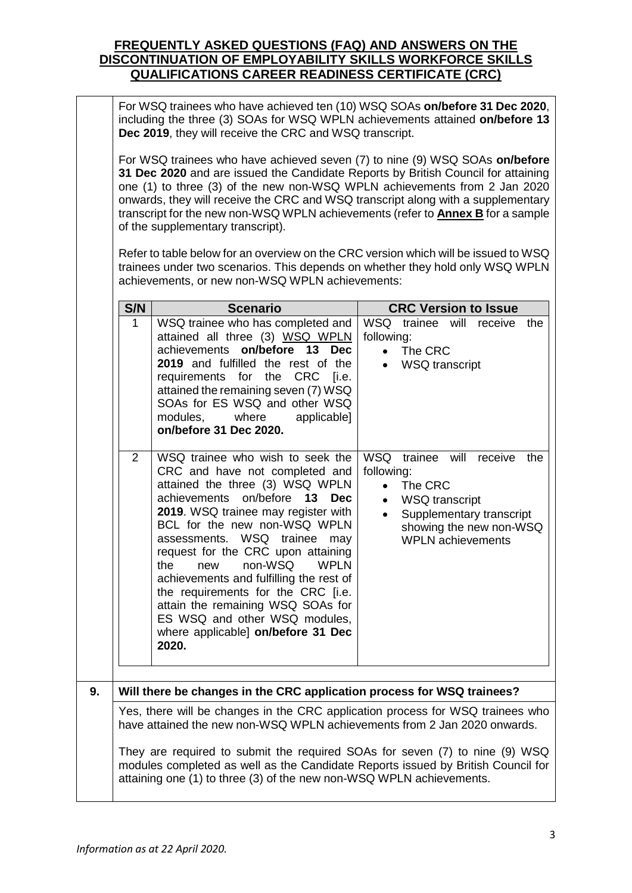For WSQ trainees who have achieved ten (10) WSQ SOAs **on/before 31 Dec 2020**, including the three (3) SOAs for WSQ WPLN achievements attained **on/before 13 Dec 2019**, they will receive the CRC and WSQ transcript.

For WSQ trainees who have achieved seven (7) to nine (9) WSQ SOAs **on/before 31 Dec 2020** and are issued the Candidate Reports by British Council for attaining one (1) to three (3) of the new non-WSQ WPLN achievements from 2 Jan 2020 onwards, they will receive the CRC and WSQ transcript along with a supplementary transcript for the new non-WSQ WPLN achievements (refer to **Annex B** for a sample of the supplementary transcript).

Refer to table below for an overview on the CRC version which will be issued to WSQ trainees under two scenarios. This depends on whether they hold only WSQ WPLN achievements, or new non-WSQ WPLN achievements:

|    | S/N<br><b>CRC Version to Issue</b><br><b>Scenario</b>                                                                                                                                                                                                                                                                                                                                                 |                                                                                                                                                                                                                                                                                                                                                                                                                                                                                                                                                   |                                                                                                                                                                                                                          |  |  |  |
|----|-------------------------------------------------------------------------------------------------------------------------------------------------------------------------------------------------------------------------------------------------------------------------------------------------------------------------------------------------------------------------------------------------------|---------------------------------------------------------------------------------------------------------------------------------------------------------------------------------------------------------------------------------------------------------------------------------------------------------------------------------------------------------------------------------------------------------------------------------------------------------------------------------------------------------------------------------------------------|--------------------------------------------------------------------------------------------------------------------------------------------------------------------------------------------------------------------------|--|--|--|
|    | $\mathbf{1}$                                                                                                                                                                                                                                                                                                                                                                                          | WSQ trainee who has completed and<br>attained all three (3) WSQ WPLN<br>achievements on/before 13 Dec<br>2019 and fulfilled the rest of the<br>requirements for the CRC [i.e.<br>attained the remaining seven (7) WSQ<br>SOAs for ES WSQ and other WSQ<br>modules,<br>where<br>applicable]<br>on/before 31 Dec 2020.                                                                                                                                                                                                                              | WSQ trainee will receive<br>the<br>following:<br>The CRC<br>$\bullet$<br><b>WSQ</b> transcript                                                                                                                           |  |  |  |
|    | $\overline{2}$                                                                                                                                                                                                                                                                                                                                                                                        | WSQ trainee who wish to seek the<br>CRC and have not completed and<br>attained the three (3) WSQ WPLN<br>achievements on/before<br>13<br><b>Dec</b><br>2019. WSQ trainee may register with<br>BCL for the new non-WSQ WPLN<br>assessments. WSQ trainee<br>may<br>request for the CRC upon attaining<br><b>WPLN</b><br>non-WSQ<br>the<br>new<br>achievements and fulfilling the rest of<br>the requirements for the CRC [i.e.<br>attain the remaining WSQ SOAs for<br>ES WSQ and other WSQ modules,<br>where applicable] on/before 31 Dec<br>2020. | <b>WSQ</b><br>trainee will<br>receive<br>the<br>following:<br>The CRC<br>$\bullet$<br><b>WSQ</b> transcript<br>$\bullet$<br>Supplementary transcript<br>$\bullet$<br>showing the new non-WSQ<br><b>WPLN</b> achievements |  |  |  |
| 9. |                                                                                                                                                                                                                                                                                                                                                                                                       | Will there be changes in the CRC application process for WSQ trainees?                                                                                                                                                                                                                                                                                                                                                                                                                                                                            |                                                                                                                                                                                                                          |  |  |  |
|    | Yes, there will be changes in the CRC application process for WSQ trainees who<br>have attained the new non-WSQ WPLN achievements from 2 Jan 2020 onwards.<br>They are required to submit the required SOAs for seven (7) to nine (9) WSQ<br>modules completed as well as the Candidate Reports issued by British Council for<br>attaining one (1) to three (3) of the new non-WSQ WPLN achievements. |                                                                                                                                                                                                                                                                                                                                                                                                                                                                                                                                                   |                                                                                                                                                                                                                          |  |  |  |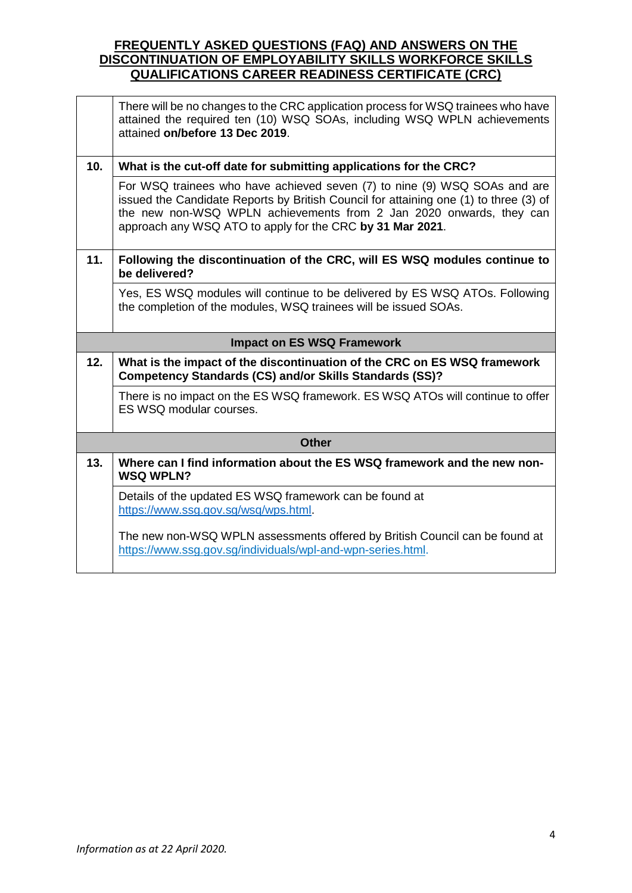|                                   | There will be no changes to the CRC application process for WSQ trainees who have<br>attained the required ten (10) WSQ SOAs, including WSQ WPLN achievements<br>attained on/before 13 Dec 2019.                                                                                                       |  |  |  |  |
|-----------------------------------|--------------------------------------------------------------------------------------------------------------------------------------------------------------------------------------------------------------------------------------------------------------------------------------------------------|--|--|--|--|
| 10.                               | What is the cut-off date for submitting applications for the CRC?                                                                                                                                                                                                                                      |  |  |  |  |
|                                   | For WSQ trainees who have achieved seven (7) to nine (9) WSQ SOAs and are<br>issued the Candidate Reports by British Council for attaining one (1) to three (3) of<br>the new non-WSQ WPLN achievements from 2 Jan 2020 onwards, they can<br>approach any WSQ ATO to apply for the CRC by 31 Mar 2021. |  |  |  |  |
| 11.                               | Following the discontinuation of the CRC, will ES WSQ modules continue to<br>be delivered?                                                                                                                                                                                                             |  |  |  |  |
|                                   | Yes, ES WSQ modules will continue to be delivered by ES WSQ ATOs. Following<br>the completion of the modules, WSQ trainees will be issued SOAs.                                                                                                                                                        |  |  |  |  |
| <b>Impact on ES WSQ Framework</b> |                                                                                                                                                                                                                                                                                                        |  |  |  |  |
|                                   |                                                                                                                                                                                                                                                                                                        |  |  |  |  |
| 12.                               | What is the impact of the discontinuation of the CRC on ES WSQ framework<br><b>Competency Standards (CS) and/or Skills Standards (SS)?</b>                                                                                                                                                             |  |  |  |  |
|                                   | There is no impact on the ES WSQ framework. ES WSQ ATOs will continue to offer<br>ES WSQ modular courses.                                                                                                                                                                                              |  |  |  |  |
|                                   | <b>Other</b>                                                                                                                                                                                                                                                                                           |  |  |  |  |
| 13.                               | Where can I find information about the ES WSQ framework and the new non-<br><b>WSQ WPLN?</b>                                                                                                                                                                                                           |  |  |  |  |
|                                   | Details of the updated ES WSQ framework can be found at<br>https://www.ssg.gov.sg/wsq/wps.html.                                                                                                                                                                                                        |  |  |  |  |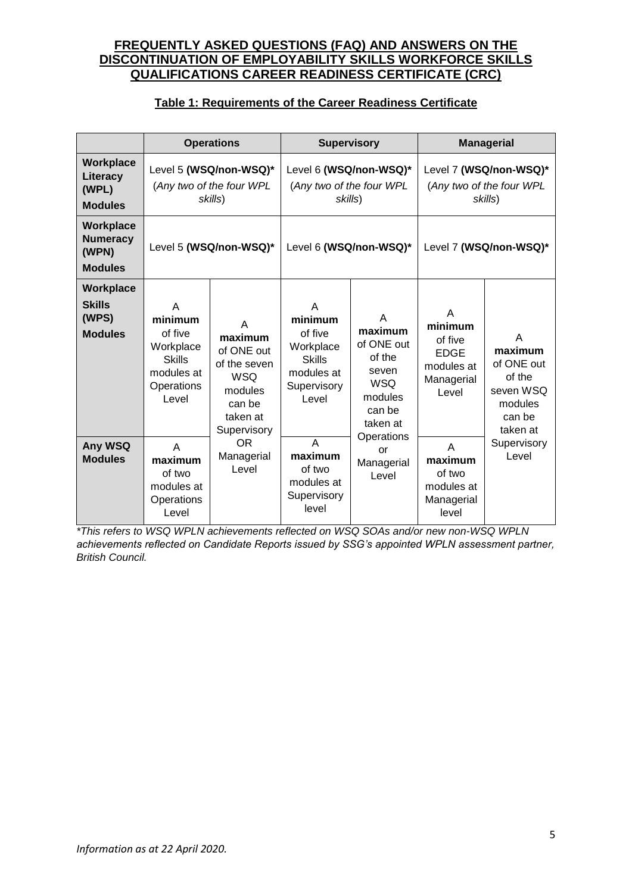#### **Table 1: Requirements of the Career Readiness Certificate**

|                                                         |                                                                                            | <b>Operations</b>                                                                                        | <b>Supervisory</b>                                                                          |                                                                                              | <b>Managerial</b>                                                           |                                                                                    |
|---------------------------------------------------------|--------------------------------------------------------------------------------------------|----------------------------------------------------------------------------------------------------------|---------------------------------------------------------------------------------------------|----------------------------------------------------------------------------------------------|-----------------------------------------------------------------------------|------------------------------------------------------------------------------------|
| Workplace<br>Literacy<br>(WPL)<br><b>Modules</b>        |                                                                                            | Level 5 (WSQ/non-WSQ)*<br>(Any two of the four WPL<br>skills)                                            | Level 6 (WSQ/non-WSQ)*<br>(Any two of the four WPL<br>skills)                               |                                                                                              | Level 7 (WSQ/non-WSQ)*<br>(Any two of the four WPL<br>skills)               |                                                                                    |
| Workplace<br><b>Numeracy</b><br>(WPN)<br><b>Modules</b> |                                                                                            | Level 5 (WSQ/non-WSQ)*                                                                                   | Level 6 (WSQ/non-WSQ)*                                                                      |                                                                                              | Level 7 (WSQ/non-WSQ)*                                                      |                                                                                    |
| Workplace<br><b>Skills</b><br>(WPS)<br><b>Modules</b>   | A<br>minimum<br>of five<br>Workplace<br><b>Skills</b><br>modules at<br>Operations<br>Level | A<br>maximum<br>of ONE out<br>of the seven<br><b>WSQ</b><br>modules<br>can be<br>taken at<br>Supervisory | A<br>minimum<br>of five<br>Workplace<br><b>Skills</b><br>modules at<br>Supervisory<br>Level | A<br>maximum<br>of ONE out<br>of the<br>seven<br><b>WSQ</b><br>modules<br>can be<br>taken at | A<br>minimum<br>of five<br><b>EDGE</b><br>modules at<br>Managerial<br>Level | A<br>maximum<br>of ONE out<br>of the<br>seven WSQ<br>modules<br>can be<br>taken at |
| Any WSQ<br><b>Modules</b>                               | A<br>maximum<br>of two<br>modules at<br>Operations<br>Level                                | <b>OR</b><br>Managerial<br>Level                                                                         | A<br>maximum<br>of two<br>modules at<br>Supervisory<br>level                                | Operations<br>or<br>Managerial<br>Level                                                      | A<br>maximum<br>of two<br>modules at<br>Managerial<br>level                 | Supervisory<br>Level                                                               |

*\*This refers to WSQ WPLN achievements reflected on WSQ SOAs and/or new non-WSQ WPLN achievements reflected on Candidate Reports issued by SSG's appointed WPLN assessment partner, British Council.*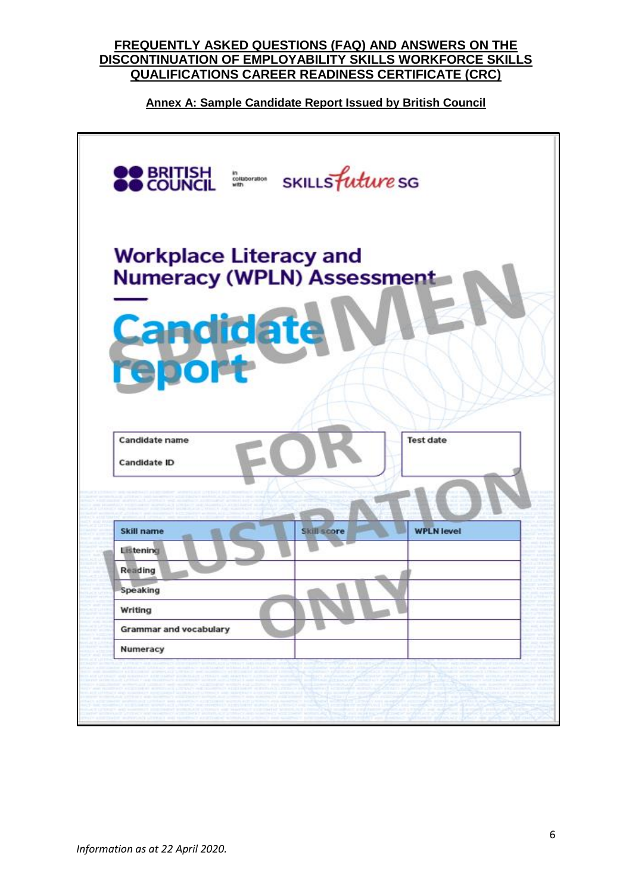# **Annex A: Sample Candidate Report Issued by British Council**

| <b>Workplace Literacy and</b><br><b>Numeracy (WPLN) Assessment</b><br><b>Candidate</b><br><b>Test date</b><br><b>Candidate name</b><br><b>Candidate ID</b><br><b>WPLN level</b><br>Skill name<br>Skill score<br>Listening | <b>OO BRITISH</b><br>SKILLS future SG<br>in<br>collaboration<br>with |
|---------------------------------------------------------------------------------------------------------------------------------------------------------------------------------------------------------------------------|----------------------------------------------------------------------|
|                                                                                                                                                                                                                           |                                                                      |
|                                                                                                                                                                                                                           |                                                                      |
|                                                                                                                                                                                                                           |                                                                      |
|                                                                                                                                                                                                                           |                                                                      |
|                                                                                                                                                                                                                           | Reading                                                              |
| Speaking                                                                                                                                                                                                                  |                                                                      |
| Writing                                                                                                                                                                                                                   |                                                                      |
| <b>Grammar and vocabulary</b>                                                                                                                                                                                             |                                                                      |
| Numeracy                                                                                                                                                                                                                  |                                                                      |